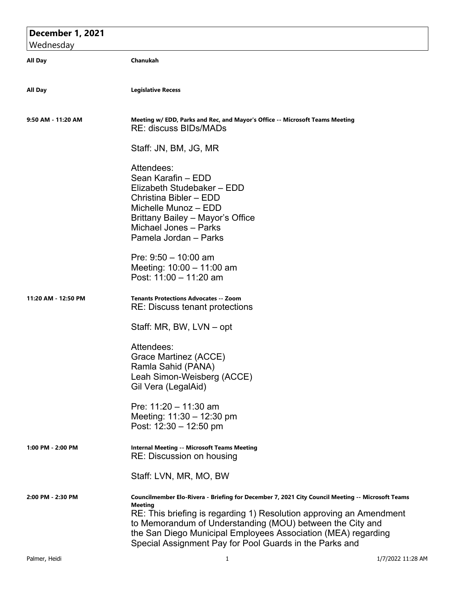## **December 1, 2021** Wednesday **All Day Chanukah All Day Legislative Recess 9:50 AM - 11:20 AM Meeting w/ EDD, Parks and Rec, and Mayor's Office -- Microsoft Teams Meeting** RE: discuss BIDs/MADs Staff: JN, BM, JG, MR Attendees: Sean Karafin – EDD Elizabeth Studebaker – EDD Christina Bibler – EDD Michelle Munoz – EDD Brittany Bailey – Mayor's Office Michael Jones – Parks Pamela Jordan – Parks Pre: 9:50 – 10:00 am Meeting: 10:00 – 11:00 am Post: 11:00 – 11:20 am **11:20 AM - 12:50 PM Tenants Protections Advocates -- Zoom** RE: Discuss tenant protections Staff: MR, BW, LVN – opt Attendees: Grace Martinez (ACCE) Ramla Sahid (PANA) Leah Simon-Weisberg (ACCE) Gil Vera (LegalAid) Pre: 11:20 – 11:30 am Meeting: 11:30 – 12:30 pm Post: 12:30 – 12:50 pm **1:00 PM - 2:00 PM Internal Meeting -- Microsoft Teams Meeting** RE: Discussion on housing Staff: LVN, MR, MO, BW **2:00 PM - 2:30 PM Councilmember Elo-Rivera - Briefing for December 7, 2021 City Council Meeting -- Microsoft Teams Meeting** RE: This briefing is regarding 1) Resolution approving an Amendment to Memorandum of Understanding (MOU) between the City and the San Diego Municipal Employees Association (MEA) regarding Special Assignment Pay for Pool Guards in the Parks and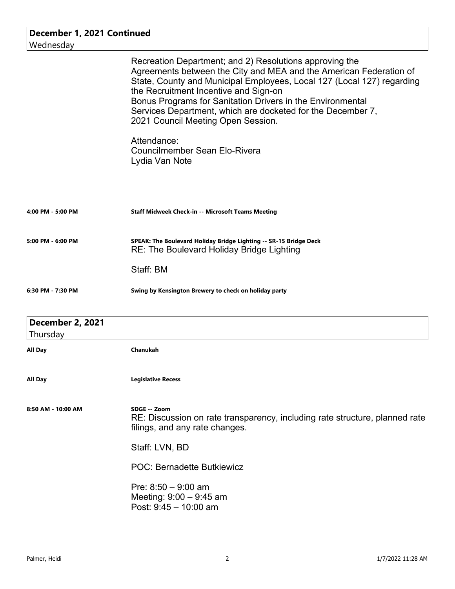| December 1, 2021 Continued<br>Wednesday |                                                                                                                                                                                                                                                                                                                                                                                                                     |
|-----------------------------------------|---------------------------------------------------------------------------------------------------------------------------------------------------------------------------------------------------------------------------------------------------------------------------------------------------------------------------------------------------------------------------------------------------------------------|
|                                         | Recreation Department; and 2) Resolutions approving the<br>Agreements between the City and MEA and the American Federation of<br>State, County and Municipal Employees, Local 127 (Local 127) regarding<br>the Recruitment Incentive and Sign-on<br>Bonus Programs for Sanitation Drivers in the Environmental<br>Services Department, which are docketed for the December 7,<br>2021 Council Meeting Open Session. |
|                                         | Attendance:<br><b>Councilmember Sean Elo-Rivera</b><br>Lydia Van Note                                                                                                                                                                                                                                                                                                                                               |
| 4:00 PM - 5:00 PM                       | <b>Staff Midweek Check-in -- Microsoft Teams Meeting</b>                                                                                                                                                                                                                                                                                                                                                            |
| 5:00 PM - 6:00 PM                       | SPEAK: The Boulevard Holiday Bridge Lighting -- SR-15 Bridge Deck<br>RE: The Boulevard Holiday Bridge Lighting                                                                                                                                                                                                                                                                                                      |
|                                         | Staff: BM                                                                                                                                                                                                                                                                                                                                                                                                           |
| 6:30 PM - 7:30 PM                       | Swing by Kensington Brewery to check on holiday party                                                                                                                                                                                                                                                                                                                                                               |
| <b>December 2, 2021</b><br>Thursday     |                                                                                                                                                                                                                                                                                                                                                                                                                     |
| All Day                                 | Chanukah                                                                                                                                                                                                                                                                                                                                                                                                            |
| All Day                                 | <b>Legislative Recess</b>                                                                                                                                                                                                                                                                                                                                                                                           |
| 8:50 AM - 10:00 AM                      | SDGE -- Zoom<br>RE: Discussion on rate transparency, including rate structure, planned rate<br>filings, and any rate changes.                                                                                                                                                                                                                                                                                       |
|                                         | Staff: LVN, BD                                                                                                                                                                                                                                                                                                                                                                                                      |
|                                         | <b>POC: Bernadette Butkiewicz</b>                                                                                                                                                                                                                                                                                                                                                                                   |
|                                         | Pre: $8:50 - 9:00$ am<br>Meeting: 9:00 - 9:45 am<br>Post: $9:45 - 10:00$ am                                                                                                                                                                                                                                                                                                                                         |
|                                         |                                                                                                                                                                                                                                                                                                                                                                                                                     |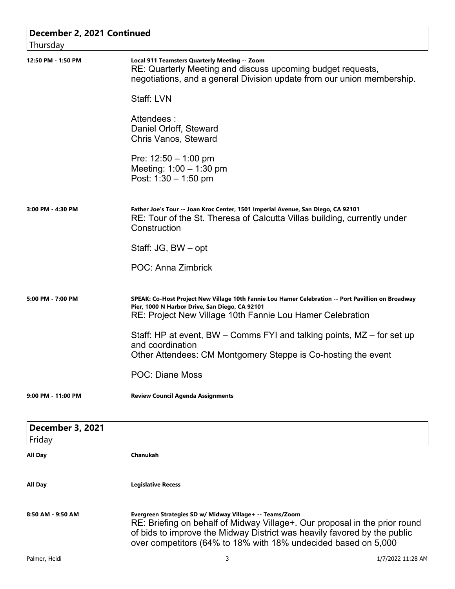| December 2, 2021 Continued<br>Thursday |                                                                                                                                                                                                                                                                                      |
|----------------------------------------|--------------------------------------------------------------------------------------------------------------------------------------------------------------------------------------------------------------------------------------------------------------------------------------|
| 12:50 PM - 1:50 PM                     | Local 911 Teamsters Quarterly Meeting -- Zoom<br>RE: Quarterly Meeting and discuss upcoming budget requests,<br>negotiations, and a general Division update from our union membership.                                                                                               |
|                                        | Staff: LVN                                                                                                                                                                                                                                                                           |
|                                        | Attendees:<br>Daniel Orloff, Steward<br><b>Chris Vanos, Steward</b>                                                                                                                                                                                                                  |
|                                        | Pre: $12:50 - 1:00$ pm<br>Meeting: $1:00 - 1:30$ pm<br>Post: $1:30 - 1:50$ pm                                                                                                                                                                                                        |
| 3:00 PM - 4:30 PM                      | Father Joe's Tour -- Joan Kroc Center, 1501 Imperial Avenue, San Diego, CA 92101<br>RE: Tour of the St. Theresa of Calcutta Villas building, currently under<br>Construction                                                                                                         |
|                                        | Staff: JG, BW – opt                                                                                                                                                                                                                                                                  |
|                                        | POC: Anna Zimbrick                                                                                                                                                                                                                                                                   |
| 5:00 PM - 7:00 PM                      | SPEAK: Co-Host Project New Village 10th Fannie Lou Hamer Celebration -- Port Pavillion on Broadway<br>Pier, 1000 N Harbor Drive, San Diego, CA 92101<br>RE: Project New Village 10th Fannie Lou Hamer Celebration                                                                    |
|                                        | Staff: HP at event, BW – Comms FYI and talking points, MZ – for set up<br>and coordination<br>Other Attendees: CM Montgomery Steppe is Co-hosting the event                                                                                                                          |
|                                        | <b>POC: Diane Moss</b>                                                                                                                                                                                                                                                               |
| 9:00 PM - 11:00 PM                     | <b>Review Council Agenda Assignments</b>                                                                                                                                                                                                                                             |
| <b>December 3, 2021</b>                |                                                                                                                                                                                                                                                                                      |
| Friday<br>All Day                      | Chanukah                                                                                                                                                                                                                                                                             |
|                                        |                                                                                                                                                                                                                                                                                      |
| All Day                                | <b>Legislative Recess</b>                                                                                                                                                                                                                                                            |
| 8:50 AM - 9:50 AM                      | Evergreen Strategies SD w/ Midway Village+ -- Teams/Zoom<br>RE: Briefing on behalf of Midway Village+. Our proposal in the prior round<br>of bids to improve the Midway District was heavily favored by the public<br>over competitors (64% to 18% with 18% undecided based on 5,000 |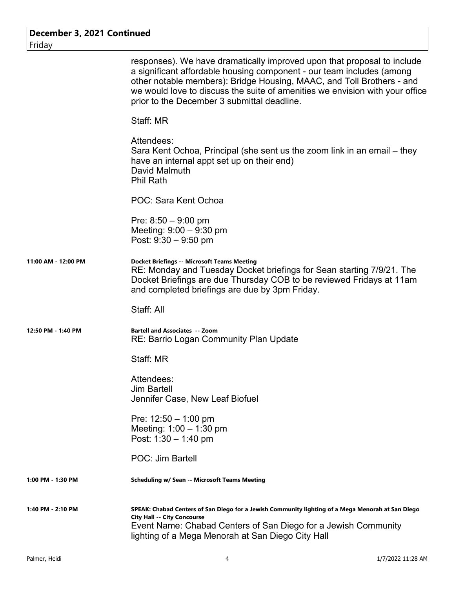| December 3, 2021 Continued<br>Friday |                                                                                                                                                                                                                                                                                                                                                          |
|--------------------------------------|----------------------------------------------------------------------------------------------------------------------------------------------------------------------------------------------------------------------------------------------------------------------------------------------------------------------------------------------------------|
|                                      | responses). We have dramatically improved upon that proposal to include<br>a significant affordable housing component - our team includes (among<br>other notable members): Bridge Housing, MAAC, and Toll Brothers - and<br>we would love to discuss the suite of amenities we envision with your office<br>prior to the December 3 submittal deadline. |
|                                      | Staff: MR                                                                                                                                                                                                                                                                                                                                                |
|                                      | Attendees:<br>Sara Kent Ochoa, Principal (she sent us the zoom link in an email – they<br>have an internal appt set up on their end)<br>David Malmuth<br><b>Phil Rath</b>                                                                                                                                                                                |
|                                      | POC: Sara Kent Ochoa                                                                                                                                                                                                                                                                                                                                     |
|                                      | Pre: $8:50 - 9:00$ pm<br>Meeting: $9:00 - 9:30$ pm<br>Post: $9:30 - 9:50$ pm                                                                                                                                                                                                                                                                             |
| 11:00 AM - 12:00 PM                  | <b>Docket Briefings -- Microsoft Teams Meeting</b><br>RE: Monday and Tuesday Docket briefings for Sean starting 7/9/21. The<br>Docket Briefings are due Thursday COB to be reviewed Fridays at 11am<br>and completed briefings are due by 3pm Friday.                                                                                                    |
|                                      | Staff: All                                                                                                                                                                                                                                                                                                                                               |
| 12:50 PM - 1:40 PM                   | <b>Bartell and Associates -- Zoom</b><br>RE: Barrio Logan Community Plan Update                                                                                                                                                                                                                                                                          |
|                                      | Staff: MR                                                                                                                                                                                                                                                                                                                                                |
|                                      | Attendees:<br><b>Jim Bartell</b><br>Jennifer Case, New Leaf Biofuel                                                                                                                                                                                                                                                                                      |
|                                      | Pre: $12:50 - 1:00$ pm<br>Meeting: 1:00 - 1:30 pm<br>Post: $1:30 - 1:40$ pm                                                                                                                                                                                                                                                                              |
|                                      | POC: Jim Bartell                                                                                                                                                                                                                                                                                                                                         |
| 1:00 PM - 1:30 PM                    | <b>Scheduling w/ Sean -- Microsoft Teams Meeting</b>                                                                                                                                                                                                                                                                                                     |
| 1:40 PM - 2:10 PM                    | SPEAK: Chabad Centers of San Diego for a Jewish Community lighting of a Mega Menorah at San Diego<br><b>City Hall -- City Concourse</b><br>Event Name: Chabad Centers of San Diego for a Jewish Community<br>lighting of a Mega Menorah at San Diego City Hall                                                                                           |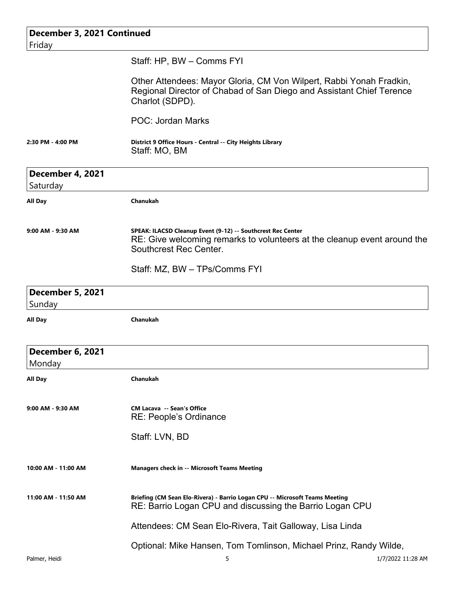|                                   | December 3, 2021 Continued                                                                                                                                        |                   |
|-----------------------------------|-------------------------------------------------------------------------------------------------------------------------------------------------------------------|-------------------|
| Friday                            |                                                                                                                                                                   |                   |
|                                   | Staff: HP, BW - Comms FYI                                                                                                                                         |                   |
|                                   | Other Attendees: Mayor Gloria, CM Von Wilpert, Rabbi Yonah Fradkin,<br>Regional Director of Chabad of San Diego and Assistant Chief Terence<br>Charlot (SDPD).    |                   |
|                                   | <b>POC: Jordan Marks</b>                                                                                                                                          |                   |
| 2:30 PM - 4:00 PM                 | District 9 Office Hours - Central -- City Heights Library<br>Staff: MO, BM                                                                                        |                   |
| December 4, 2021<br>Saturday      |                                                                                                                                                                   |                   |
| <b>All Day</b>                    | <b>Chanukah</b>                                                                                                                                                   |                   |
| 9:00 AM - 9:30 AM                 | SPEAK: ILACSD Cleanup Event (9-12) -- Southcrest Rec Center<br>RE: Give welcoming remarks to volunteers at the cleanup event around the<br>Southcrest Rec Center. |                   |
|                                   | Staff: MZ, BW - TPs/Comms FYI                                                                                                                                     |                   |
| <b>December 5, 2021</b><br>Sunday |                                                                                                                                                                   |                   |
| All Day                           | Chanukah                                                                                                                                                          |                   |
| <b>December 6, 2021</b><br>Monday |                                                                                                                                                                   |                   |
| All Day                           | Chanukah                                                                                                                                                          |                   |
| 9:00 AM - 9:30 AM                 | <b>CM Lacava -- Sean's Office</b><br><b>RE: People's Ordinance</b>                                                                                                |                   |
|                                   | Staff: LVN, BD                                                                                                                                                    |                   |
| 10:00 AM - 11:00 AM               | <b>Managers check in -- Microsoft Teams Meeting</b>                                                                                                               |                   |
| 11:00 AM - 11:50 AM               | Briefing (CM Sean Elo-Rivera) - Barrio Logan CPU -- Microsoft Teams Meeting<br>RE: Barrio Logan CPU and discussing the Barrio Logan CPU                           |                   |
|                                   | Attendees: CM Sean Elo-Rivera, Tait Galloway, Lisa Linda                                                                                                          |                   |
|                                   | Optional: Mike Hansen, Tom Tomlinson, Michael Prinz, Randy Wilde,                                                                                                 |                   |
| Palmer, Heidi                     | 5                                                                                                                                                                 | 1/7/2022 11:28 AM |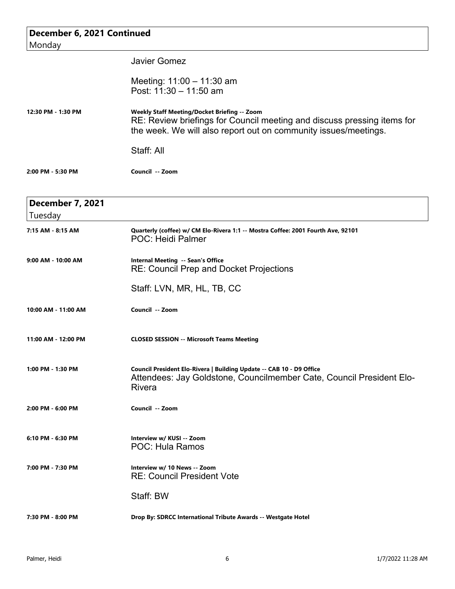| December 6, 2021 Continued         |                                                                                                                                                                                            |  |
|------------------------------------|--------------------------------------------------------------------------------------------------------------------------------------------------------------------------------------------|--|
| Monday                             |                                                                                                                                                                                            |  |
|                                    | <b>Javier Gomez</b>                                                                                                                                                                        |  |
|                                    | Meeting: 11:00 - 11:30 am<br>Post: 11:30 - 11:50 am                                                                                                                                        |  |
| 12:30 PM - 1:30 PM                 | Weekly Staff Meeting/Docket Briefing -- Zoom<br>RE: Review briefings for Council meeting and discuss pressing items for<br>the week. We will also report out on community issues/meetings. |  |
|                                    | Staff: All                                                                                                                                                                                 |  |
| 2:00 PM - 5:30 PM                  | Council -- Zoom                                                                                                                                                                            |  |
| <b>December 7, 2021</b><br>Tuesday |                                                                                                                                                                                            |  |
| 7:15 AM - 8:15 AM                  | Quarterly (coffee) w/ CM Elo-Rivera 1:1 -- Mostra Coffee: 2001 Fourth Ave, 92101<br><b>POC: Heidi Palmer</b>                                                                               |  |
| 9:00 AM - 10:00 AM                 | Internal Meeting -- Sean's Office<br><b>RE: Council Prep and Docket Projections</b>                                                                                                        |  |
|                                    | Staff: LVN, MR, HL, TB, CC                                                                                                                                                                 |  |
| 10:00 AM - 11:00 AM                | Council -- Zoom                                                                                                                                                                            |  |
| 11:00 AM - 12:00 PM                | <b>CLOSED SESSION -- Microsoft Teams Meeting</b>                                                                                                                                           |  |
| 1:00 PM - 1:30 PM                  | Council President Elo-Rivera   Building Update -- CAB 10 - D9 Office<br>Attendees: Jay Goldstone, Councilmember Cate, Council President Elo-<br><b>Rivera</b>                              |  |
| 2:00 PM - 6:00 PM                  | Council -- Zoom                                                                                                                                                                            |  |
| 6:10 PM - 6:30 PM                  | Interview w/ KUSI -- Zoom<br><b>POC: Hula Ramos</b>                                                                                                                                        |  |
| 7:00 PM - 7:30 PM                  | Interview w/ 10 News -- Zoom<br><b>RE: Council President Vote</b>                                                                                                                          |  |
|                                    | Staff: BW                                                                                                                                                                                  |  |
| 7:30 PM - 8:00 PM                  | Drop By: SDRCC International Tribute Awards -- Westgate Hotel                                                                                                                              |  |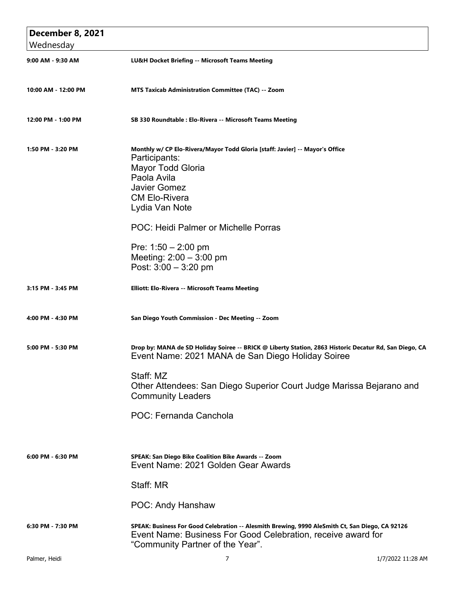| <b>December 8, 2021</b>        |                                                                                                                                                                                                                                                                              |                   |
|--------------------------------|------------------------------------------------------------------------------------------------------------------------------------------------------------------------------------------------------------------------------------------------------------------------------|-------------------|
| Wednesday<br>9:00 AM - 9:30 AM | LU&H Docket Briefing -- Microsoft Teams Meeting                                                                                                                                                                                                                              |                   |
| 10:00 AM - 12:00 PM            | MTS Taxicab Administration Committee (TAC) -- Zoom                                                                                                                                                                                                                           |                   |
| 12:00 PM - 1:00 PM             | SB 330 Roundtable : Elo-Rivera -- Microsoft Teams Meeting                                                                                                                                                                                                                    |                   |
| 1:50 PM - 3:20 PM              | Monthly w/ CP Elo-Rivera/Mayor Todd Gloria [staff: Javier] -- Mayor's Office<br>Participants:<br><b>Mayor Todd Gloria</b><br>Paola Avila<br><b>Javier Gomez</b><br><b>CM Elo-Rivera</b><br>Lydia Van Note                                                                    |                   |
|                                | POC: Heidi Palmer or Michelle Porras<br>Pre: $1:50 - 2:00$ pm<br>Meeting: $2:00 - 3:00$ pm<br>Post: $3:00 - 3:20$ pm                                                                                                                                                         |                   |
| 3:15 PM - 3:45 PM              | Elliott: Elo-Rivera -- Microsoft Teams Meeting                                                                                                                                                                                                                               |                   |
| 4:00 PM - 4:30 PM              | San Diego Youth Commission - Dec Meeting -- Zoom                                                                                                                                                                                                                             |                   |
| 5:00 PM - 5:30 PM              | Drop by: MANA de SD Holiday Soiree -- BRICK @ Liberty Station, 2863 Historic Decatur Rd, San Diego, CA<br>Event Name: 2021 MANA de San Diego Holiday Soiree<br>Staff: MZ<br>Other Attendees: San Diego Superior Court Judge Marissa Bejarano and<br><b>Community Leaders</b> |                   |
|                                | POC: Fernanda Canchola                                                                                                                                                                                                                                                       |                   |
| 6:00 PM - 6:30 PM              | SPEAK: San Diego Bike Coalition Bike Awards -- Zoom<br>Event Name: 2021 Golden Gear Awards                                                                                                                                                                                   |                   |
|                                | Staff: MR                                                                                                                                                                                                                                                                    |                   |
|                                | POC: Andy Hanshaw                                                                                                                                                                                                                                                            |                   |
| 6:30 PM - 7:30 PM              | SPEAK: Business For Good Celebration -- Alesmith Brewing, 9990 AleSmith Ct, San Diego, CA 92126<br>Event Name: Business For Good Celebration, receive award for<br>"Community Partner of the Year".                                                                          |                   |
| Palmer, Heidi                  | 7                                                                                                                                                                                                                                                                            | 1/7/2022 11:28 AM |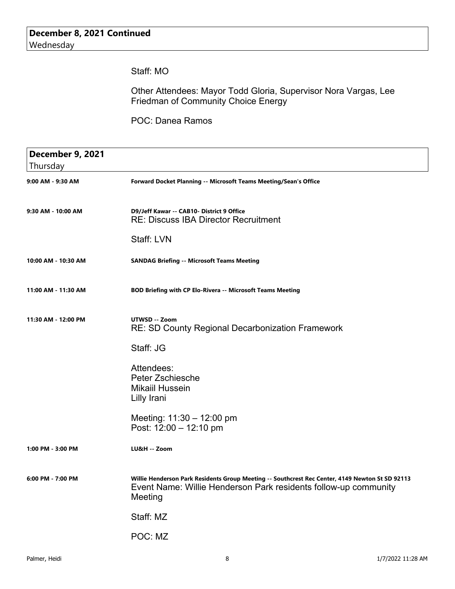Staff: MO

Other Attendees: Mayor Todd Gloria, Supervisor Nora Vargas, Lee Friedman of Community Choice Energy

POC: Danea Ramos

| <b>December 9, 2021</b> |                                                                                                                                                                               |
|-------------------------|-------------------------------------------------------------------------------------------------------------------------------------------------------------------------------|
| Thursday                |                                                                                                                                                                               |
| 9:00 AM - 9:30 AM       | Forward Docket Planning -- Microsoft Teams Meeting/Sean's Office                                                                                                              |
| 9:30 AM - 10:00 AM      | D9/Jeff Kawar -- CAB10- District 9 Office<br><b>RE: Discuss IBA Director Recruitment</b>                                                                                      |
|                         | Staff: LVN                                                                                                                                                                    |
| 10:00 AM - 10:30 AM     | <b>SANDAG Briefing -- Microsoft Teams Meeting</b>                                                                                                                             |
| 11:00 AM - 11:30 AM     | BOD Briefing with CP Elo-Rivera -- Microsoft Teams Meeting                                                                                                                    |
| 11:30 AM - 12:00 PM     | UTWSD -- Zoom<br><b>RE: SD County Regional Decarbonization Framework</b>                                                                                                      |
|                         | Staff: JG                                                                                                                                                                     |
|                         | Attendees:<br><b>Peter Zschiesche</b><br><b>Mikaiil Hussein</b><br>Lilly Irani                                                                                                |
|                         | Meeting: $11:30 - 12:00$ pm<br>Post: $12:00 - 12:10 \text{ pm}$                                                                                                               |
| 1:00 PM - 3:00 PM       | LU&H -- Zoom                                                                                                                                                                  |
| $6:00$ PM - 7:00 PM     | Willie Henderson Park Residents Group Meeting -- Southcrest Rec Center, 4149 Newton St SD 92113<br>Event Name: Willie Henderson Park residents follow-up community<br>Meeting |
|                         | Staff: MZ                                                                                                                                                                     |
|                         | POC: MZ                                                                                                                                                                       |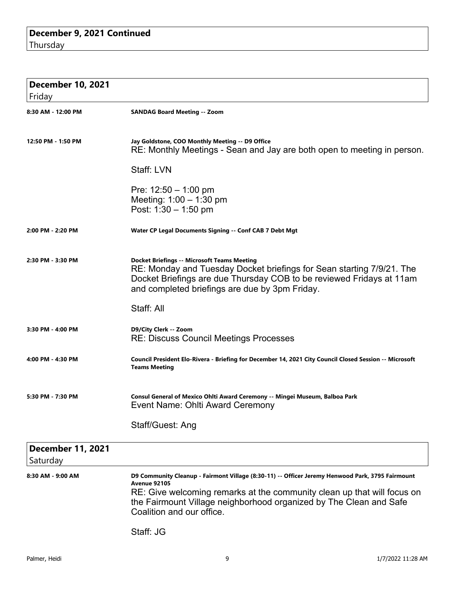| <b>December 10, 2021</b>             |                                                                                                                                                                                                                                                                                                       |
|--------------------------------------|-------------------------------------------------------------------------------------------------------------------------------------------------------------------------------------------------------------------------------------------------------------------------------------------------------|
| Friday                               |                                                                                                                                                                                                                                                                                                       |
| 8:30 AM - 12:00 PM                   | <b>SANDAG Board Meeting -- Zoom</b>                                                                                                                                                                                                                                                                   |
| 12:50 PM - 1:50 PM                   | Jay Goldstone, COO Monthly Meeting -- D9 Office<br>RE: Monthly Meetings - Sean and Jay are both open to meeting in person.                                                                                                                                                                            |
|                                      | Staff: LVN                                                                                                                                                                                                                                                                                            |
|                                      | Pre: $12:50 - 1:00$ pm<br>Meeting: $1:00 - 1:30$ pm<br>Post: $1:30 - 1:50$ pm                                                                                                                                                                                                                         |
| 2:00 PM - 2:20 PM                    | Water CP Legal Documents Signing -- Conf CAB 7 Debt Mgt                                                                                                                                                                                                                                               |
| 2:30 PM - 3:30 PM                    | <b>Docket Briefings -- Microsoft Teams Meeting</b><br>RE: Monday and Tuesday Docket briefings for Sean starting 7/9/21. The<br>Docket Briefings are due Thursday COB to be reviewed Fridays at 11am<br>and completed briefings are due by 3pm Friday.                                                 |
|                                      | Staff: All                                                                                                                                                                                                                                                                                            |
| 3:30 PM - 4:00 PM                    | D9/City Clerk -- Zoom<br><b>RE: Discuss Council Meetings Processes</b>                                                                                                                                                                                                                                |
| 4:00 PM - 4:30 PM                    | Council President Elo-Rivera - Briefing for December 14, 2021 City Council Closed Session -- Microsoft<br><b>Teams Meeting</b>                                                                                                                                                                        |
| 5:30 PM - 7:30 PM                    | Consul General of Mexico Ohlti Award Ceremony -- Mingei Museum, Balboa Park<br>Event Name: Ohlti Award Ceremony                                                                                                                                                                                       |
|                                      | Staff/Guest: Ang                                                                                                                                                                                                                                                                                      |
| <b>December 11, 2021</b><br>Saturday |                                                                                                                                                                                                                                                                                                       |
| 8:30 AM - 9:00 AM                    | D9 Community Cleanup - Fairmont Village (8:30-11) -- Officer Jeremy Henwood Park, 3795 Fairmount<br><b>Avenue 92105</b><br>RE: Give welcoming remarks at the community clean up that will focus on<br>the Fairmount Village neighborhood organized by The Clean and Safe<br>Coalition and our office. |
|                                      | Staff: JG                                                                                                                                                                                                                                                                                             |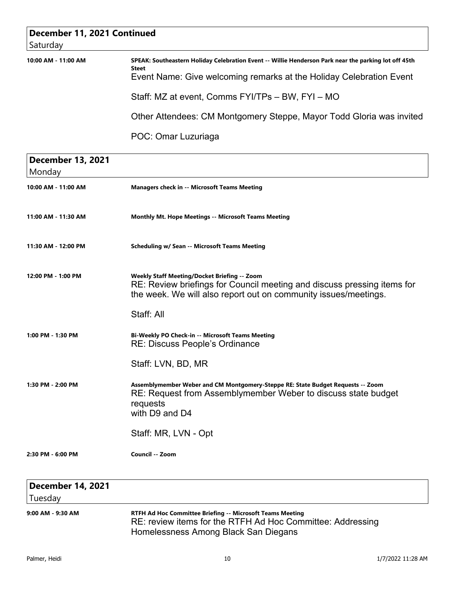# **December 11, 2021 Continued** Saturday **10:00 AM - 11:00 AM SPEAK: Southeastern Holiday Celebration Event -- Willie Henderson Park near the parking lot off 45th Steet** Event Name: Give welcoming remarks at the Holiday Celebration Event Staff: MZ at event, Comms FYI/TPs – BW, FYI – MO Other Attendees: CM Montgomery Steppe, Mayor Todd Gloria was invited POC: Omar Luzuriaga

 **December 13, 2021** Monday **10:00 AM - 11:00 AM Managers check in -- Microsoft Teams Meeting** 11:00 AM - 11:30 AM Monthly Mt. Hope Meetings -- Microsoft Teams Meeting **11:30 AM - 12:00 PM Scheduling w/ Sean -- Microsoft Teams Meeting 12:00 PM - 1:00 PM Weekly Staff Meeting/Docket Briefing -- Zoom** RE: Review briefings for Council meeting and discuss pressing items for the week. We will also report out on community issues/meetings. Staff: All **1:00 PM - 1:30 PM Bi-Weekly PO Check-in -- Microsoft Teams Meeting** RE: Discuss People's Ordinance Staff: LVN, BD, MR **1:30 PM - 2:00 PM Assemblymember Weber and CM Montgomery-Steppe RE: State Budget Requests -- Zoom** RE: Request from Assemblymember Weber to discuss state budget requests with D9 and D4 Staff: MR, LVN - Opt **2:30 PM - 6:00 PM Council -- Zoom**

### **December 14, 2021** Tuesday **9:00 AM - 9:30 AM RTFH Ad Hoc Committee Briefing -- Microsoft Teams Meeting** RE: review items for the RTFH Ad Hoc Committee: Addressing Homelessness Among Black San Diegans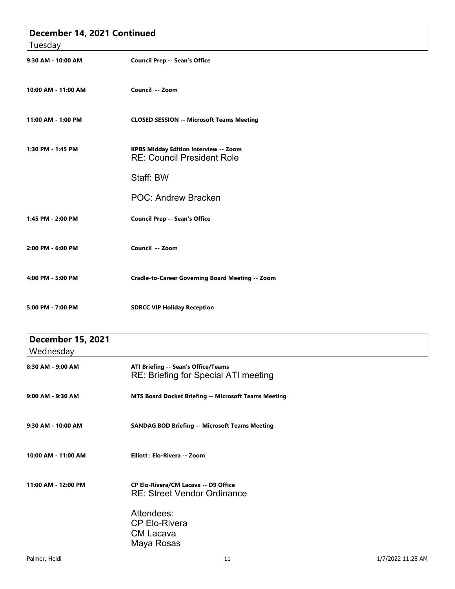|                          | December 14, 2021 Continued                                                        |  |
|--------------------------|------------------------------------------------------------------------------------|--|
| Tuesday                  |                                                                                    |  |
| 9:30 AM - 10:00 AM       | <b>Council Prep -- Sean's Office</b>                                               |  |
| 10:00 AM - 11:00 AM      | Council -- Zoom                                                                    |  |
| 11:00 AM - 1:00 PM       | <b>CLOSED SESSION -- Microsoft Teams Meeting</b>                                   |  |
| 1:30 PM - 1:45 PM        | <b>KPBS Midday Edition Interview -- Zoom</b><br><b>RE: Council President Role</b>  |  |
|                          | Staff: BW                                                                          |  |
|                          | <b>POC: Andrew Bracken</b>                                                         |  |
| 1:45 PM - 2:00 PM        | <b>Council Prep -- Sean's Office</b>                                               |  |
| 2:00 PM - 6:00 PM        | Council -- Zoom                                                                    |  |
| 4:00 PM - 5:00 PM        | Cradle-to-Career Governing Board Meeting -- Zoom                                   |  |
| 5:00 PM - 7:00 PM        | <b>SDRCC VIP Holiday Reception</b>                                                 |  |
| <b>December 15, 2021</b> |                                                                                    |  |
| Wednesday                |                                                                                    |  |
| 8:30 AM - 9:00 AM        | ATI Briefing -- Sean's Office/Teams<br><b>RE: Briefing for Special ATI meeting</b> |  |
| 9:00 AM - 9:30 AM        | MTS Board Docket Briefing -- Microsoft Teams Meeting                               |  |

- **9:30 AM 10:00 AM SANDAG BOD Briefing -- Microsoft Teams Meeting**
- 
- **10:00 AM 11:00 AM Elliott : Elo-Rivera -- Zoom**
- **11:00 AM 12:00 PM CP Elo-Rivera/CM Lacava -- D9 Office**  RE: Street Vendor Ordinance

#### Attendees: CP Elo-Rivera CM Lacava Maya Rosas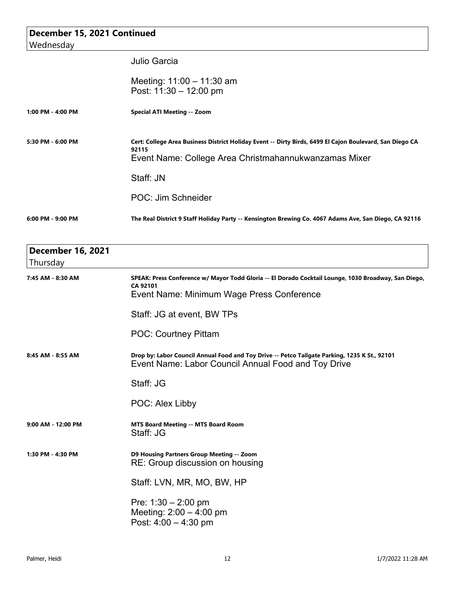| December 15, 2021 Continued          |                                                                                                                                                                                         |  |
|--------------------------------------|-----------------------------------------------------------------------------------------------------------------------------------------------------------------------------------------|--|
| Wednesday                            |                                                                                                                                                                                         |  |
|                                      | <b>Julio Garcia</b>                                                                                                                                                                     |  |
|                                      | Meeting: 11:00 - 11:30 am<br>Post: 11:30 - 12:00 pm                                                                                                                                     |  |
| 1:00 PM - 4:00 PM                    | <b>Special ATI Meeting -- Zoom</b>                                                                                                                                                      |  |
| 5:30 PM - 6:00 PM                    | Cert: College Area Business District Holiday Event -- Dirty Birds, 6499 El Cajon Boulevard, San Diego CA<br>92115<br>Event Name: College Area Christmahannukwanzamas Mixer<br>Staff: JN |  |
|                                      | POC: Jim Schneider                                                                                                                                                                      |  |
| 6:00 PM - 9:00 PM                    | The Real District 9 Staff Holiday Party -- Kensington Brewing Co. 4067 Adams Ave, San Diego, CA 92116                                                                                   |  |
| <b>December 16, 2021</b><br>Thursday |                                                                                                                                                                                         |  |
| 7:45 AM - 8:30 AM                    | SPEAK: Press Conference w/ Mayor Todd Gloria -- El Dorado Cocktail Lounge, 1030 Broadway, San Diego,<br>CA 92101<br>Event Name: Minimum Wage Press Conference                           |  |
|                                      | Staff: JG at event, BW TPs                                                                                                                                                              |  |
|                                      | <b>POC: Courtney Pittam</b>                                                                                                                                                             |  |
| 8:45 AM - 8:55 AM                    | Drop by: Labor Council Annual Food and Toy Drive -- Petco Tailgate Parking, 1235 K St., 92101<br>Event Name: Labor Council Annual Food and Toy Drive                                    |  |
|                                      | Staff: JG                                                                                                                                                                               |  |
|                                      | POC: Alex Libby                                                                                                                                                                         |  |
| 9:00 AM - 12:00 PM                   | <b>MTS Board Meeting -- MTS Board Room</b><br>Staff: JG                                                                                                                                 |  |
| 1:30 PM - 4:30 PM                    | D9 Housing Partners Group Meeting -- Zoom<br>RE: Group discussion on housing                                                                                                            |  |
|                                      | Staff: LVN, MR, MO, BW, HP                                                                                                                                                              |  |
|                                      | Pre: $1:30 - 2:00$ pm<br>Meeting: $2:00 - 4:00$ pm<br>Post: $4:00 - 4:30$ pm                                                                                                            |  |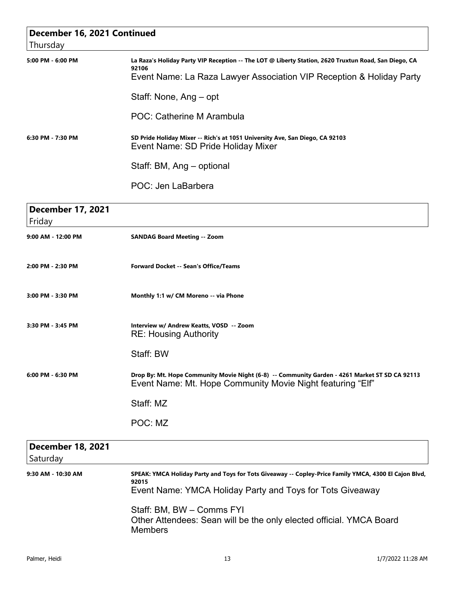| December 16, 2021 Continued          |                                                                                                                                                              |  |
|--------------------------------------|--------------------------------------------------------------------------------------------------------------------------------------------------------------|--|
| Thursday                             |                                                                                                                                                              |  |
| 5:00 PM - 6:00 PM                    | La Raza's Holiday Party VIP Reception -- The LOT @ Liberty Station, 2620 Truxtun Road, San Diego, CA<br>92106                                                |  |
|                                      | Event Name: La Raza Lawyer Association VIP Reception & Holiday Party                                                                                         |  |
|                                      | Staff: None, Ang – opt                                                                                                                                       |  |
|                                      | POC: Catherine M Arambula                                                                                                                                    |  |
| 6:30 PM - 7:30 PM                    | SD Pride Holiday Mixer -- Rich's at 1051 University Ave, San Diego, CA 92103<br>Event Name: SD Pride Holiday Mixer                                           |  |
|                                      | Staff: BM, Ang - optional                                                                                                                                    |  |
|                                      | POC: Jen LaBarbera                                                                                                                                           |  |
| <b>December 17, 2021</b><br>Friday   |                                                                                                                                                              |  |
| 9:00 AM - 12:00 PM                   | <b>SANDAG Board Meeting -- Zoom</b>                                                                                                                          |  |
|                                      |                                                                                                                                                              |  |
| 2:00 PM - 2:30 PM                    | <b>Forward Docket -- Sean's Office/Teams</b>                                                                                                                 |  |
| 3:00 PM - 3:30 PM                    | Monthly 1:1 w/ CM Moreno -- via Phone                                                                                                                        |  |
| 3:30 PM - 3:45 PM                    | Interview w/ Andrew Keatts, VOSD -- Zoom<br><b>RE: Housing Authority</b>                                                                                     |  |
|                                      | Staff: BW                                                                                                                                                    |  |
| $6:00$ PM - $6:30$ PM                | Drop By: Mt. Hope Community Movie Night (6-8) -- Community Garden - 4261 Market ST SD CA 92113<br>Event Name: Mt. Hope Community Movie Night featuring "Elf" |  |
|                                      | Staff: MZ                                                                                                                                                    |  |
|                                      | POC: MZ                                                                                                                                                      |  |
| <b>December 18, 2021</b><br>Saturday |                                                                                                                                                              |  |
| 9:30 AM - 10:30 AM                   | SPEAK: YMCA Holiday Party and Toys for Tots Giveaway -- Copley-Price Family YMCA, 4300 El Cajon Blvd,<br>92015                                               |  |
|                                      | Event Name: YMCA Holiday Party and Toys for Tots Giveaway                                                                                                    |  |
|                                      | Staff: BM, BW - Comms FYI                                                                                                                                    |  |
|                                      | Other Attendees: Sean will be the only elected official. YMCA Board<br><b>Members</b>                                                                        |  |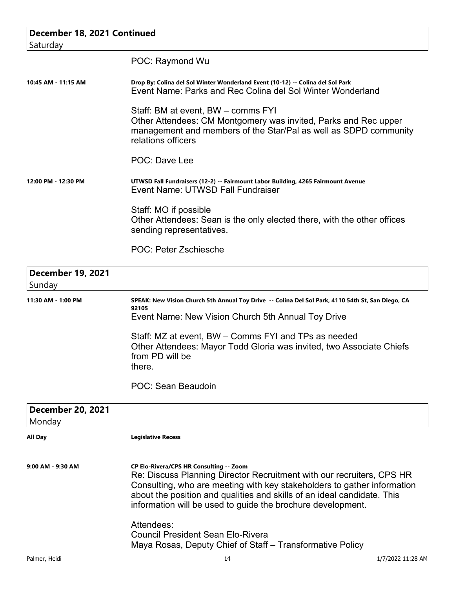| December 18, 2021 Continued        |                                                                                                                                                                                                                                                                                                                                                     |  |
|------------------------------------|-----------------------------------------------------------------------------------------------------------------------------------------------------------------------------------------------------------------------------------------------------------------------------------------------------------------------------------------------------|--|
| Saturday                           |                                                                                                                                                                                                                                                                                                                                                     |  |
|                                    | POC: Raymond Wu                                                                                                                                                                                                                                                                                                                                     |  |
| 10:45 AM - 11:15 AM                | Drop By: Colina del Sol Winter Wonderland Event (10-12) -- Colina del Sol Park<br>Event Name: Parks and Rec Colina del Sol Winter Wonderland                                                                                                                                                                                                        |  |
|                                    | Staff: BM at event, BW – comms FYI<br>Other Attendees: CM Montgomery was invited, Parks and Rec upper<br>management and members of the Star/Pal as well as SDPD community<br>relations officers                                                                                                                                                     |  |
|                                    | <b>POC: Dave Lee</b>                                                                                                                                                                                                                                                                                                                                |  |
| 12:00 PM - 12:30 PM                | UTWSD Fall Fundraisers (12-2) -- Fairmount Labor Building, 4265 Fairmount Avenue<br>Event Name: UTWSD Fall Fundraiser                                                                                                                                                                                                                               |  |
|                                    | Staff: MO if possible<br>Other Attendees: Sean is the only elected there, with the other offices<br>sending representatives.                                                                                                                                                                                                                        |  |
|                                    | POC: Peter Zschiesche                                                                                                                                                                                                                                                                                                                               |  |
| <b>December 19, 2021</b><br>Sunday |                                                                                                                                                                                                                                                                                                                                                     |  |
| 11:30 AM - 1:00 PM                 | SPEAK: New Vision Church 5th Annual Toy Drive -- Colina Del Sol Park, 4110 54th St, San Diego, CA<br>92105                                                                                                                                                                                                                                          |  |
|                                    | Event Name: New Vision Church 5th Annual Toy Drive                                                                                                                                                                                                                                                                                                  |  |
|                                    | Staff: MZ at event, BW – Comms FYI and TPs as needed<br>Other Attendees: Mayor Todd Gloria was invited, two Associate Chiefs<br>from PD will be<br>there.                                                                                                                                                                                           |  |
|                                    | POC: Sean Beaudoin                                                                                                                                                                                                                                                                                                                                  |  |
| <b>December 20, 2021</b><br>Monday |                                                                                                                                                                                                                                                                                                                                                     |  |
| All Day                            | <b>Legislative Recess</b>                                                                                                                                                                                                                                                                                                                           |  |
| 9:00 AM - 9:30 AM                  | CP Elo-Rivera/CPS HR Consulting -- Zoom<br>Re: Discuss Planning Director Recruitment with our recruiters, CPS HR<br>Consulting, who are meeting with key stakeholders to gather information<br>about the position and qualities and skills of an ideal candidate. This<br>information will be used to guide the brochure development.<br>Attendees: |  |
|                                    | <b>Council President Sean Elo-Rivera</b><br>Maya Rosas, Deputy Chief of Staff - Transformative Policy                                                                                                                                                                                                                                               |  |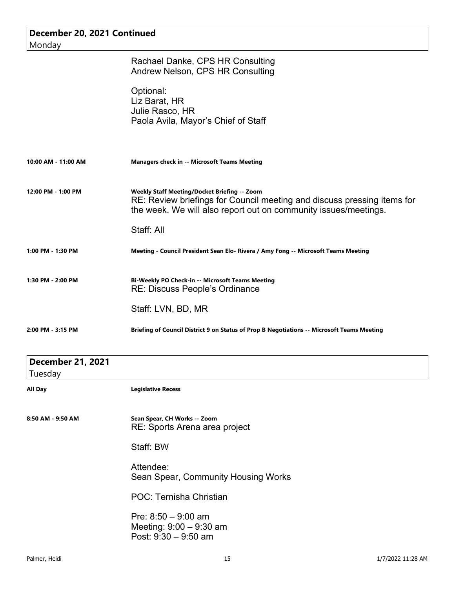| December 20, 2021 Continued         |                                                                                                                                                                                                   |  |
|-------------------------------------|---------------------------------------------------------------------------------------------------------------------------------------------------------------------------------------------------|--|
| Monday                              |                                                                                                                                                                                                   |  |
|                                     | Rachael Danke, CPS HR Consulting<br>Andrew Nelson, CPS HR Consulting                                                                                                                              |  |
|                                     | Optional:<br>Liz Barat, HR<br>Julie Rasco, HR<br>Paola Avila, Mayor's Chief of Staff                                                                                                              |  |
| 10:00 AM - 11:00 AM                 | Managers check in -- Microsoft Teams Meeting                                                                                                                                                      |  |
| 12:00 PM - 1:00 PM                  | <b>Weekly Staff Meeting/Docket Briefing -- Zoom</b><br>RE: Review briefings for Council meeting and discuss pressing items for<br>the week. We will also report out on community issues/meetings. |  |
|                                     | Staff: All                                                                                                                                                                                        |  |
| 1:00 PM - 1:30 PM                   | Meeting - Council President Sean Elo- Rivera / Amy Fong -- Microsoft Teams Meeting                                                                                                                |  |
| 1:30 PM - 2:00 PM                   | Bi-Weekly PO Check-in -- Microsoft Teams Meeting<br><b>RE: Discuss People's Ordinance</b>                                                                                                         |  |
|                                     | Staff: LVN, BD, MR                                                                                                                                                                                |  |
| 2:00 PM - 3:15 PM                   | Briefing of Council District 9 on Status of Prop B Negotiations -- Microsoft Teams Meeting                                                                                                        |  |
| <b>December 21, 2021</b><br>Tuesday |                                                                                                                                                                                                   |  |
| All Day                             | <b>Legislative Recess</b>                                                                                                                                                                         |  |
| 8:50 AM - 9:50 AM                   | Sean Spear, CH Works -- Zoom<br>RE: Sports Arena area project                                                                                                                                     |  |
|                                     | Staff: BW                                                                                                                                                                                         |  |
|                                     | Attendee:<br>Sean Spear, Community Housing Works                                                                                                                                                  |  |
|                                     | POC: Ternisha Christian                                                                                                                                                                           |  |
|                                     | Pre: $8:50 - 9:00$ am<br>Meeting: $9:00 - 9:30$ am<br>Post: 9:30 - 9:50 am                                                                                                                        |  |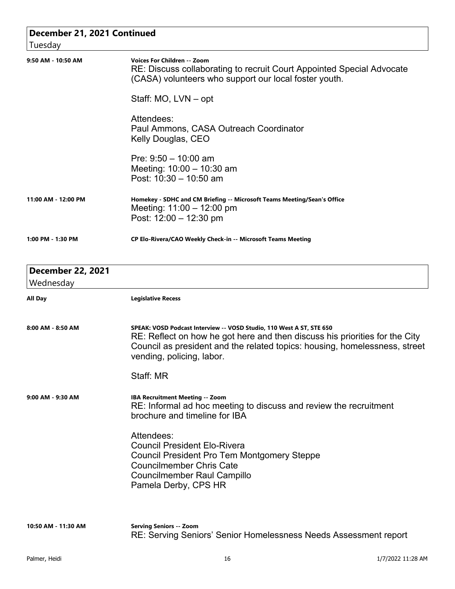| <b>Voices For Children -- Zoom</b><br>RE: Discuss collaborating to recruit Court Appointed Special Advocate<br>(CASA) volunteers who support our local foster youth.                                                                                           |
|----------------------------------------------------------------------------------------------------------------------------------------------------------------------------------------------------------------------------------------------------------------|
| Staff: MO, LVN - opt                                                                                                                                                                                                                                           |
| Attendees:<br>Paul Ammons, CASA Outreach Coordinator<br>Kelly Douglas, CEO                                                                                                                                                                                     |
| Pre: $9:50 - 10:00$ am<br>Meeting: $10:00 - 10:30$ am<br>Post: $10:30 - 10:50$ am                                                                                                                                                                              |
| Homekey - SDHC and CM Briefing -- Microsoft Teams Meeting/Sean's Office<br>Meeting: $11:00 - 12:00$ pm<br>Post: $12:00 - 12:30$ pm                                                                                                                             |
| CP Elo-Rivera/CAO Weekly Check-in -- Microsoft Teams Meeting                                                                                                                                                                                                   |
|                                                                                                                                                                                                                                                                |
| <b>Legislative Recess</b>                                                                                                                                                                                                                                      |
| SPEAK: VOSD Podcast Interview -- VOSD Studio, 110 West A ST, STE 650<br>RE: Reflect on how he got here and then discuss his priorities for the City<br>Council as president and the related topics: housing, homelessness, street<br>vending, policing, labor. |
| Staff: MR                                                                                                                                                                                                                                                      |
| <b>IBA Recruitment Meeting -- Zoom</b><br>RE: Informal ad hoc meeting to discuss and review the recruitment<br>brochure and timeline for IBA                                                                                                                   |
| Attendees:<br><b>Council President Elo-Rivera</b><br>Council President Pro Tem Montgomery Steppe<br><b>Councilmember Chris Cate</b><br><b>Councilmember Raul Campillo</b><br>Pamela Derby, CPS HR                                                              |
| <b>Serving Seniors -- Zoom</b>                                                                                                                                                                                                                                 |
|                                                                                                                                                                                                                                                                |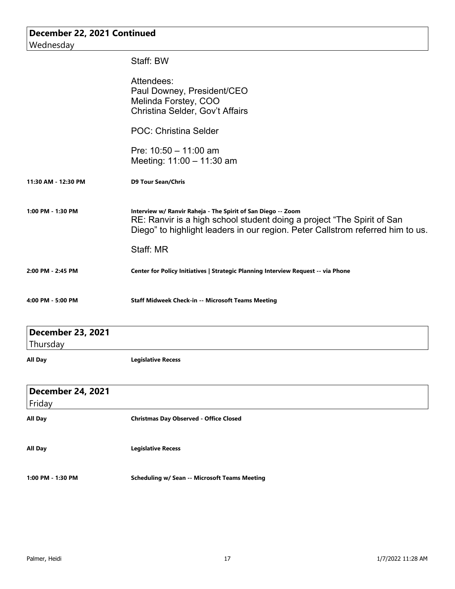| December 22, 2021 Continued          |                                                                                                                                                                                                                          |  |
|--------------------------------------|--------------------------------------------------------------------------------------------------------------------------------------------------------------------------------------------------------------------------|--|
| Wednesday                            |                                                                                                                                                                                                                          |  |
|                                      | Staff: BW                                                                                                                                                                                                                |  |
|                                      | Attendees:<br>Paul Downey, President/CEO<br>Melinda Forstey, COO<br>Christina Selder, Gov't Affairs                                                                                                                      |  |
|                                      | <b>POC: Christina Selder</b>                                                                                                                                                                                             |  |
|                                      | Pre: $10:50 - 11:00$ am<br>Meeting: 11:00 - 11:30 am                                                                                                                                                                     |  |
| 11:30 AM - 12:30 PM                  | <b>D9 Tour Sean/Chris</b>                                                                                                                                                                                                |  |
| 1:00 PM - 1:30 PM                    | Interview w/ Ranvir Raheja - The Spirit of San Diego -- Zoom<br>RE: Ranvir is a high school student doing a project "The Spirit of San<br>Diego" to highlight leaders in our region. Peter Callstrom referred him to us. |  |
|                                      | Staff: MR                                                                                                                                                                                                                |  |
| 2:00 PM - 2:45 PM                    | Center for Policy Initiatives   Strategic Planning Interview Request -- via Phone                                                                                                                                        |  |
| 4:00 PM - 5:00 PM                    | <b>Staff Midweek Check-in -- Microsoft Teams Meeting</b>                                                                                                                                                                 |  |
| <b>December 23, 2021</b><br>Thursday |                                                                                                                                                                                                                          |  |
| <b>All Day</b>                       | <b>Legislative Recess</b>                                                                                                                                                                                                |  |
| <b>December 24, 2021</b><br>Friday   |                                                                                                                                                                                                                          |  |
| <b>All Day</b>                       | <b>Christmas Day Observed - Office Closed</b>                                                                                                                                                                            |  |
| <b>All Day</b>                       | <b>Legislative Recess</b>                                                                                                                                                                                                |  |
| 1:00 PM - 1:30 PM                    | <b>Scheduling w/ Sean -- Microsoft Teams Meeting</b>                                                                                                                                                                     |  |